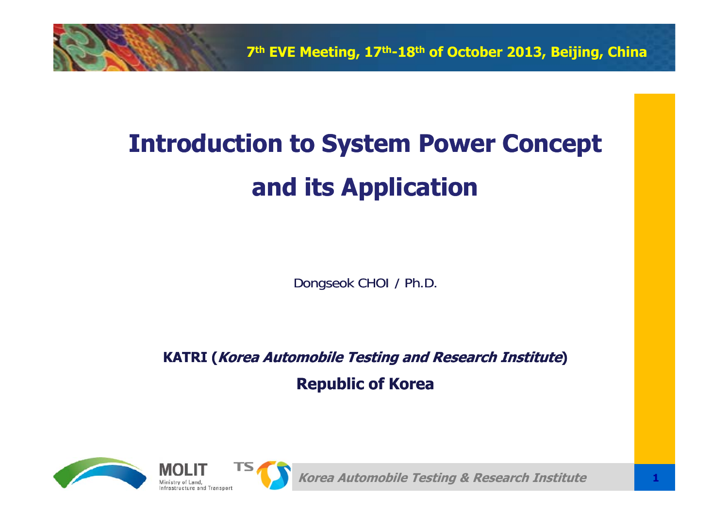

# **Introduction to System Power Concept and its Application**

Dongseok CHOI / Ph.D.

**KATRI (Korea Automobile Testing and Research Institute)** 

**Republic of Korea**



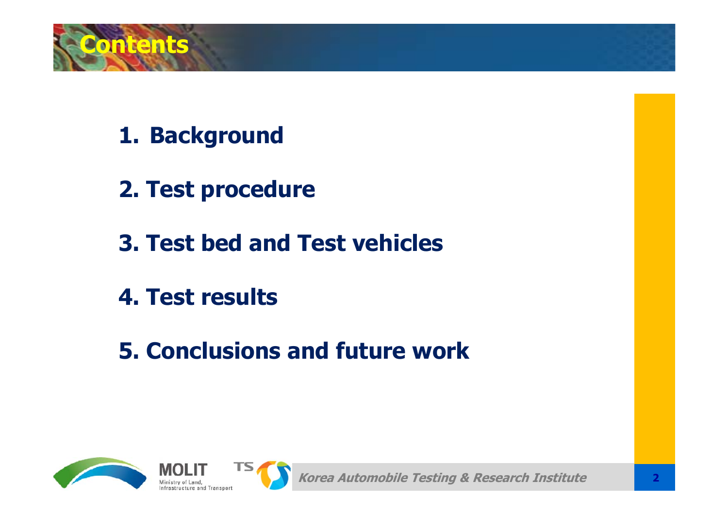

- **1. Background**
- **2. Test procedure**
- **3. Test bed and Test vehicles**
- **4. Test results**
- **5. Conclusions and future work**

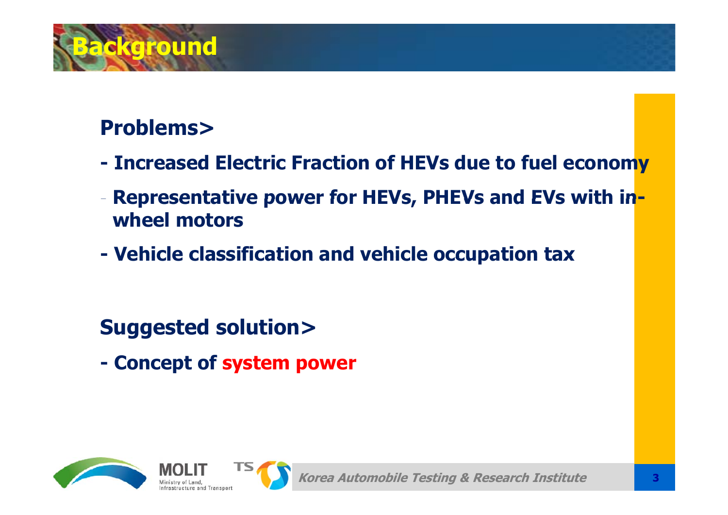

## **Problems>**

- **- Increased Electric Fraction of HEVs due to fuel economy Representative power for HEVs, PHEVs and EVs with inwheel motors**
- **-Vehicle classification and vehicle occupation tax tax**

**Suggested solution>**

**- Concept of system power**

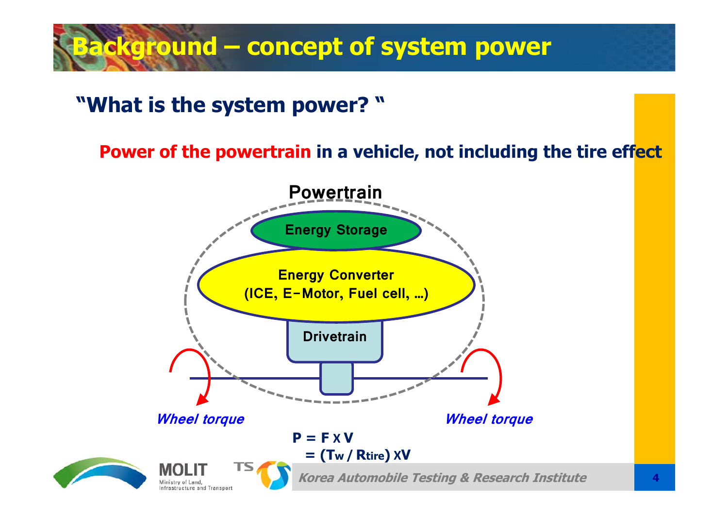# **Background – concept of system power**

## **"What is the system power? "**

**Power of the powertrain in a vehicle, not including the tire effect**

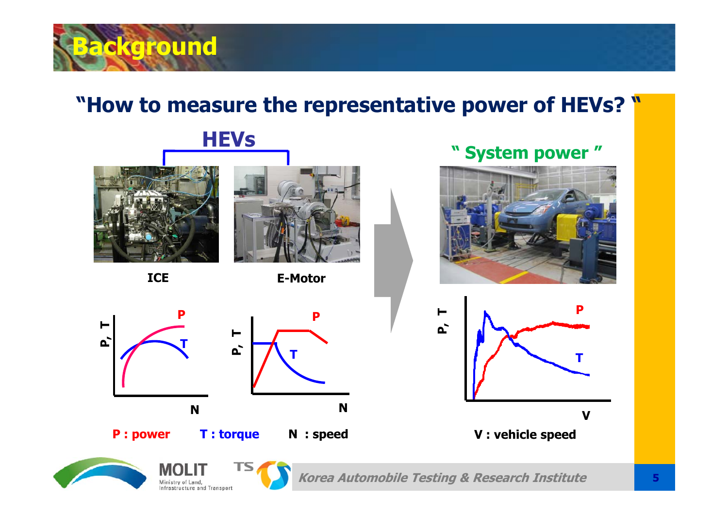

## **"How to measure the representative power of HEVs? "**



**ICE**

**P**

**T**

**N**



**E-Motor**

**T**

**N**

### **" System power "**





**P** : power T : torque N : speed N = V : vehicle speed



**P, T**



**P : power T : torque N : speed**

**P**

**P, T**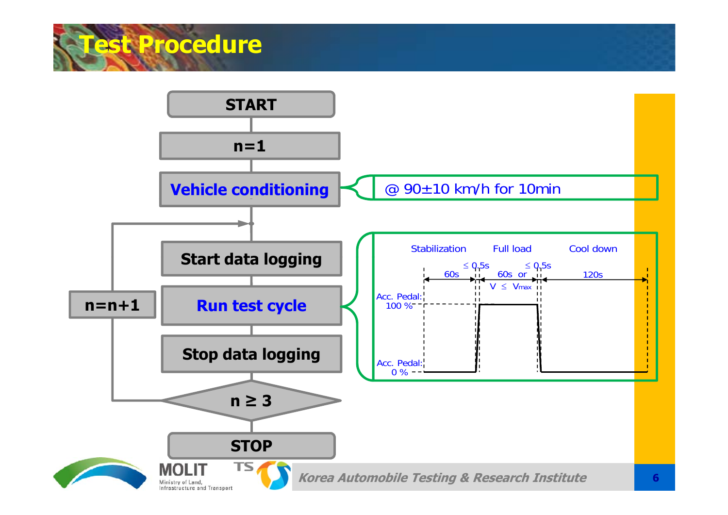

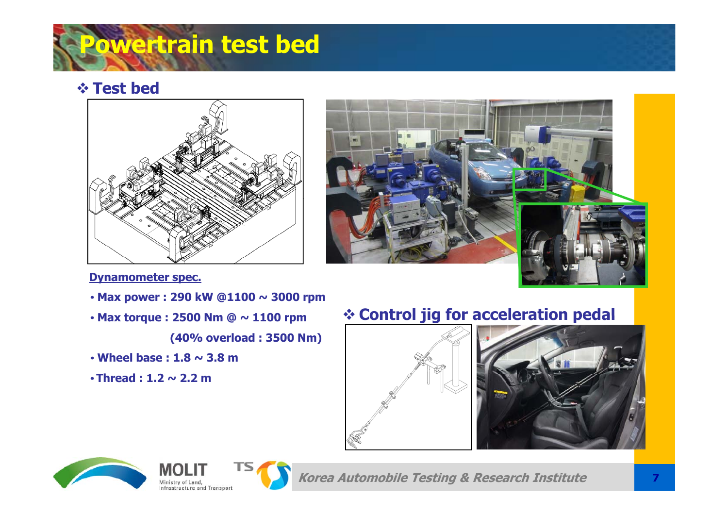

#### $\div$  **Test** bed





#### **Dynamometer spec.**

- **Max power : 290 kW @1100 <sup>~</sup> 3000 rpm**
- **Max torque : 2500 Nm @ ~ 1100 rpm**

**(40% overload : 3500 Nm)**

- **Wheel base : 1.8 <sup>~</sup> 3.8 m**
- **h d222 Threa : 1. ~2.2m**

## **Control jig for acceleration pedal**







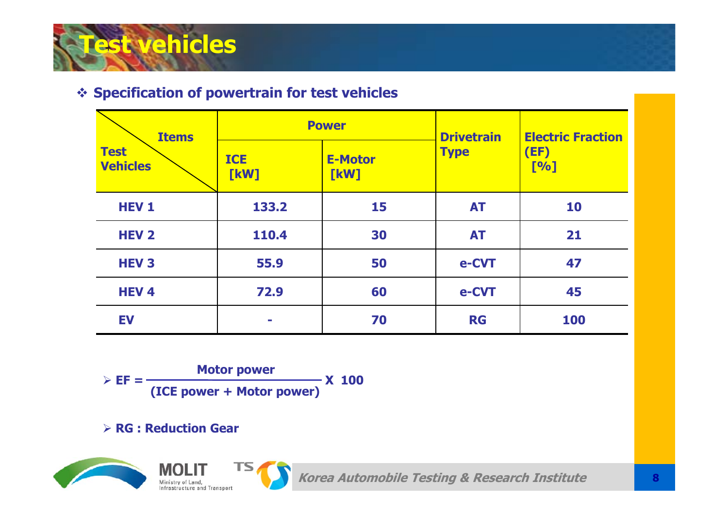

#### **Specification of powertrain for test vehicles**

| <b>Items</b><br><b>Test</b><br><b>Vehicles</b> |                    | <b>Power</b>           | <b>Drivetrain</b> | <b>Electric Fraction</b><br>(EF)<br>[%] |  |
|------------------------------------------------|--------------------|------------------------|-------------------|-----------------------------------------|--|
|                                                | <b>ICE</b><br>[kW] | <b>E-Motor</b><br>[kW] | <b>Type</b>       |                                         |  |
| <b>HEV1</b>                                    | 133.2              | 15                     | <b>AT</b>         | 10                                      |  |
| <b>HEV 2</b>                                   | 110.4              | 30                     | <b>AT</b>         | 21                                      |  |
| <b>HEV3</b>                                    | 55.9               | 50                     | e-CVT             | 47                                      |  |
| <b>HEV4</b>                                    | 72.9               | 60                     | e-CVT             | 45                                      |  |
| <b>EV</b>                                      | <b>COL</b>         | 70                     | <b>RG</b>         | 100                                     |  |

**Motor power o o po e**  $\triangleright$  **EF** = **(ICE power <sup>+</sup> Motor power) X 100**

**RG : Reduction Gear**



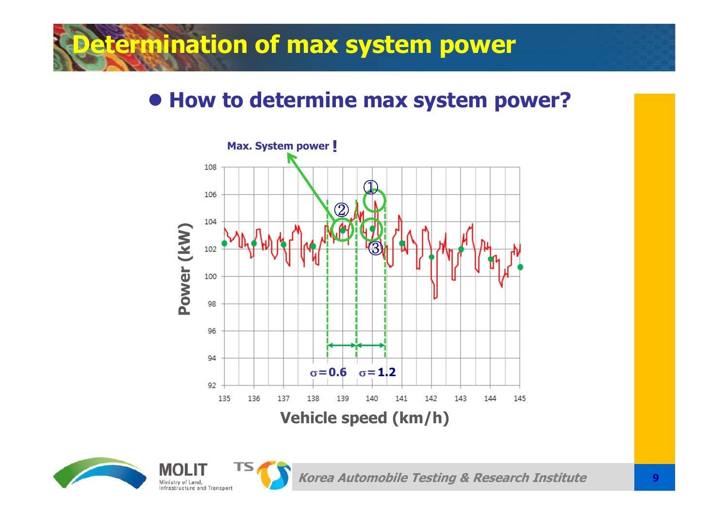# **Determination of max system power**

## **How to determine max system power?**



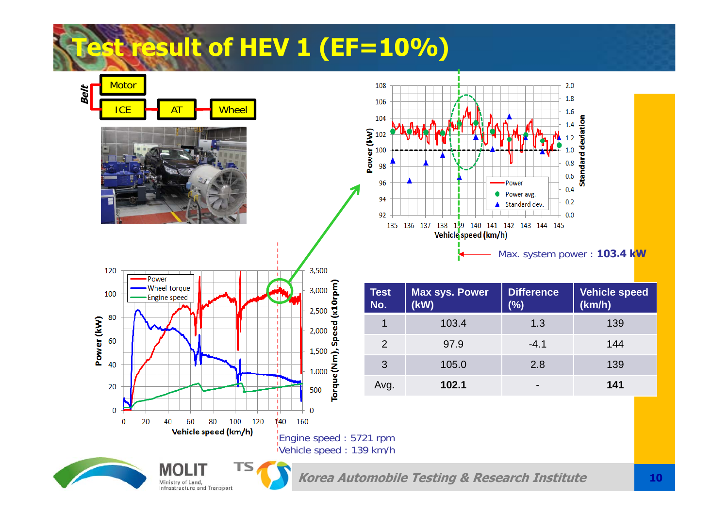

Ministry of Land, Infrastructure and Transport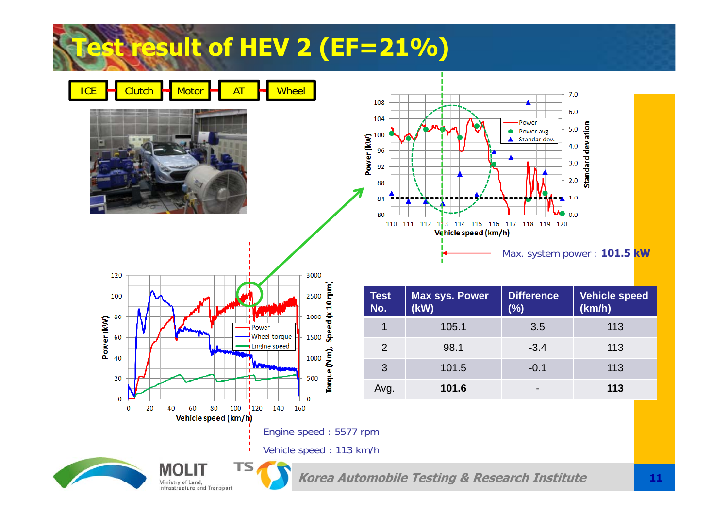# **Test result of HEV 2 (EF=21%)**

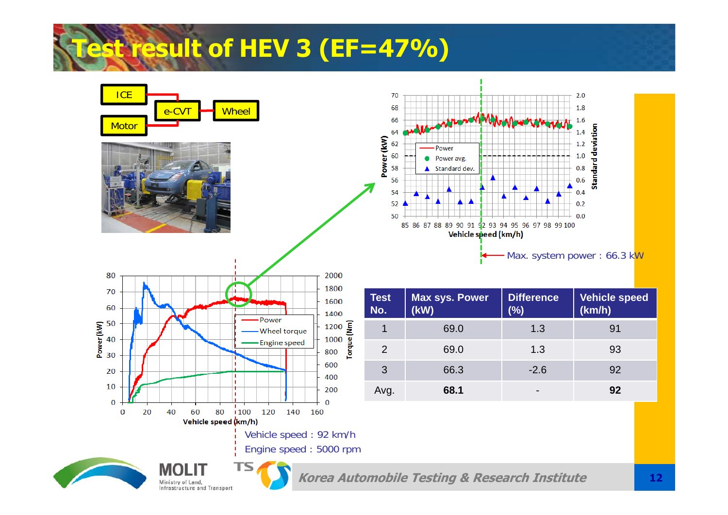# **Test result of HEV 3 (EF=47%)**

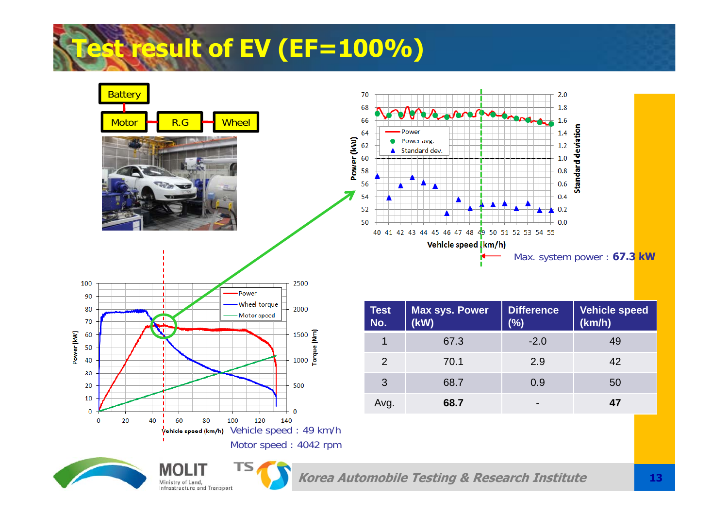





Ministry of Land,

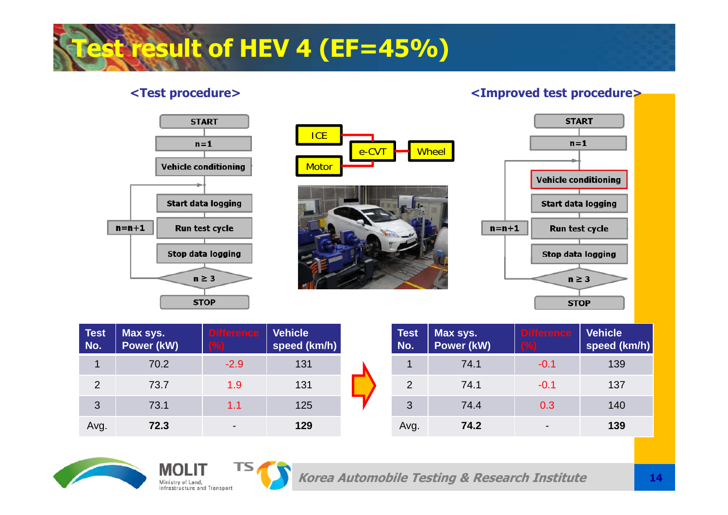# **Test result of HEV 4 (EF=45%)**

#### **<Test procedure> <Improved test procedure>**



| <b>Test</b><br>No. | Max sys.<br>Power (kW) | <b>Difference</b><br>(%) | <b>Vehicle</b><br>speed (km/h) | <b>Test</b><br>No. | Max sys.<br>Power (kW) | <b>Difference</b><br>(%) | Vehicle<br>speed (km/h) |
|--------------------|------------------------|--------------------------|--------------------------------|--------------------|------------------------|--------------------------|-------------------------|
|                    | 70.2                   | $-2.9$                   | 131                            |                    | 74.1                   | $-0.1$                   | 139                     |
| 2                  | 73.7                   | 1.9                      | 131                            | 2                  | 74.1                   | $-0.1$                   | 137                     |
| 3                  | 73.1                   | 1.1                      | 125                            | 3                  | 74.4                   | 0.3                      | 140                     |
| Avg.               | 72.3                   | $\overline{\phantom{a}}$ | 129                            | Avg.               | 74.2                   | $\blacksquare$           | 139                     |



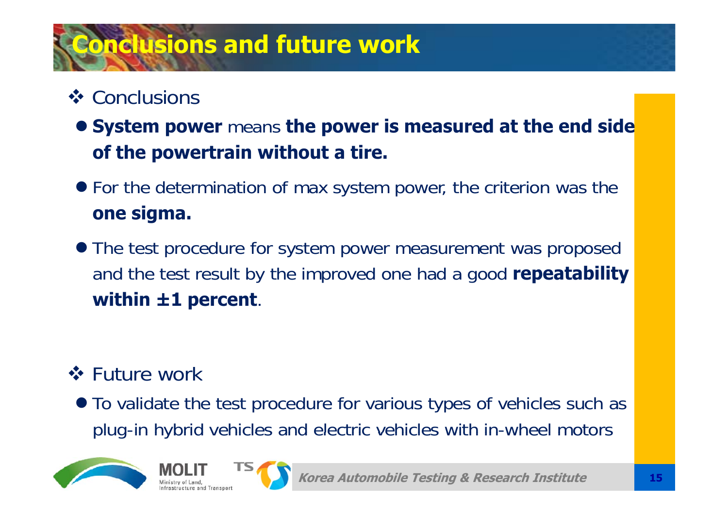# **Conclusions and future work**

## **❖ Conclusions**

- **System power** means **the power is measured at the end side of the powertrain without a tire.**
- For the determination of max system power, the criterion was the **one sigma.**
- The test procedure for system power measurement was proposed and the test result by the improved one had a good **repeatability within ±1 percent**.

## **❖ Future work**

• To validate the test procedure for various types of vehicles such as plug-in hybrid vehicles and electric vehicles with in-wheel motors